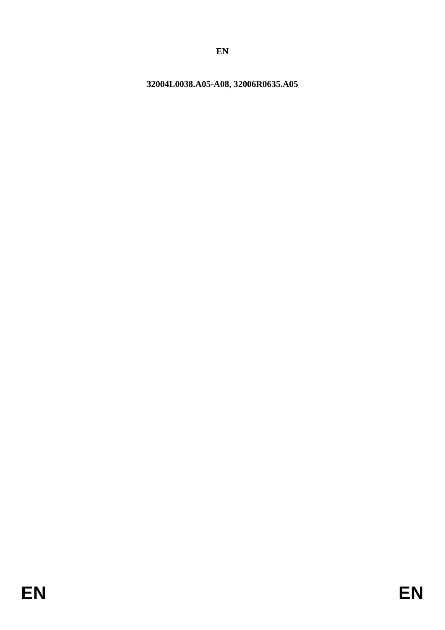# 32004L0038.A05-A08, 32006R0635.A05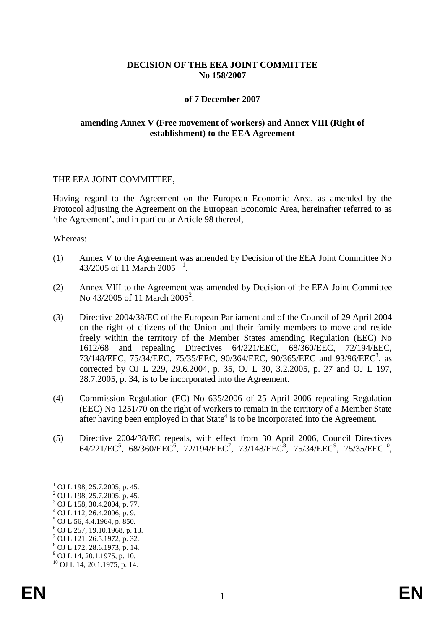## **DECISION OF THE EEA JOINT COMMITTEE No 158/2007**

#### **of 7 December 2007**

#### **amending Annex V (Free movement of workers) and Annex VIII (Right of establishment) to the EEA Agreement**

#### THE EEA JOINT COMMITTEE,

Having regard to the Agreement on the European Economic Area, as amended by the Protocol adjusting the Agreement on the European Economic Area, hereinafter referred to as 'the Agreement', and in particular Article 98 thereof,

#### Whereas:

- (1) Annex V to the Agreement was amended by Decision of the EEA Joint Committee No 43/2005 of [1](#page-1-0)1 March 2005  $^{-1}$ .
- (2) Annex VIII to the Agreement was amended by Decision of the EEA Joint Committee No  $43/2005$  of 11 March  $2005^2$ .
- (3) Directive 2004/38/EC of the European Parliament and of the Council of 29 April 2004 on the right of citizens of the Union and their family members to move and reside freely within the territory of the Member States amending Regulation (EEC) No 1612/68 and repealing Directives 64/221/EEC, 68/360/EEC, 72/194/EEC, 73/148/EEC, 75/34/EEC, 75/35/EEC, 90/364/EEC, 90/365/EEC and 93/96/EEC<sup>3</sup>, as corrected by OJ L 229, 29.6.2004, p. 35, OJ L 30, 3.2.2005, p. 27 and OJ L 197, 28.7.2005, p. 34, is to be incorporated into the Agreement.
- (4) Commission Regulation (EC) No 635/2006 of 25 April 2006 repealing Regulation (EEC) No 1251/70 on the right of workers to remain in the territory of a Member State after having been employed in that  $State<sup>4</sup>$  is to be incorporated into the Agreement.
- (5) Directive 2004/38/EC repeals, with effect from 30 April 2006, Council Directives 64/221/EC<sup>5</sup>, 68/360/EEC<sup>6</sup>, 72/194/EEC<sup>7</sup>, 73/148/EEC<sup>8</sup>, 75/34/EEC<sup>9</sup>, 75/35/EEC<sup>10</sup>,

-

<sup>&</sup>lt;sup>1</sup> OJ L 198, 25.7.2005, p. 45.<br><sup>2</sup> OJ L 198, 25.7.2005, p. 45.<br><sup>3</sup> OJ L 158, 30.4.2004, p. 77.<br><sup>4</sup> OJ L 112, 26.4.2006, p. 9.

 $5$  OJ L 56, 4.4.1964, p. 850.

<sup>6</sup> OJ L 257, 19.10.1968, p. 13.

<sup>7</sup> OJ L 121, 26.5.1972, p. 32.

<sup>8</sup> OJ L 172, 28.6.1973, p. 14.

 $^{9}$  OJ L 14, 20.1.1975, p. 10.

<span id="page-1-0"></span> $^{10}$  OJ L 14, 20.1.1975, p. 14.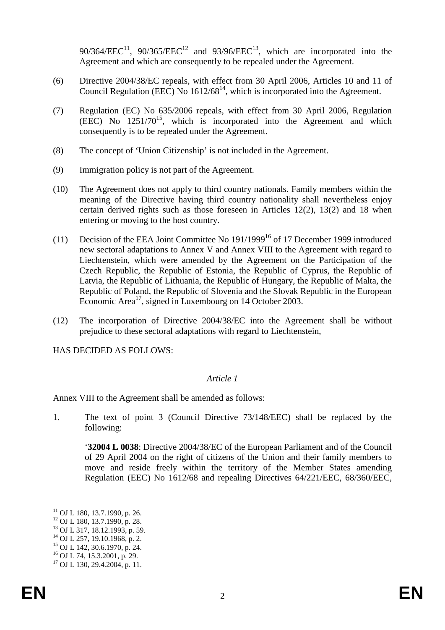90/364/EEC<sup>11</sup>, 90/365/EEC<sup>12</sup> and 93/96/EEC<sup>13</sup>, which are incorporated into the Agreement and which are consequently to be repealed under the Agreement.

- (6) Directive 2004/38/EC repeals, with effect from 30 April 2006, Articles 10 and 11 of Council Regulation (EEC) No  $1612/68^{14}$ , which is incorporated into the Agreement.
- (7) Regulation (EC) No 635/2006 repeals, with effect from 30 April 2006, Regulation  $(EEC)$  No  $1251/70^{15}$ , which is incorporated into the Agreement and which consequently is to be repealed under the Agreement.
- (8) The concept of 'Union Citizenship' is not included in the Agreement.
- (9) Immigration policy is not part of the Agreement.
- (10) The Agreement does not apply to third country nationals. Family members within the meaning of the Directive having third country nationality shall nevertheless enjoy certain derived rights such as those foreseen in Articles 12(2), 13(2) and 18 when entering or moving to the host country.
- (11) Decision of the EEA Joint Committee No  $191/1999^{16}$  of 17 December 1999 introduced new sectoral adaptations to Annex V and Annex VIII to the Agreement with regard to Liechtenstein, which were amended by the Agreement on the Participation of the Czech Republic, the Republic of Estonia, the Republic of Cyprus, the Republic of Latvia, the Republic of Lithuania, the Republic of Hungary, the Republic of Malta, the Republic of Poland, the Republic of Slovenia and the Slovak Republic in the European Economic Area<sup>17</sup>, signed in Luxembourg on 14 October 2003.
- (12) The incorporation of Directive 2004/38/EC into the Agreement shall be without prejudice to these sectoral adaptations with regard to Liechtenstein,

HAS DECIDED AS FOLLOWS:

## *Article 1*

Annex VIII to the Agreement shall be amended as follows:

1. The text of point 3 (Council Directive 73/148/EEC) shall be replaced by the following:

'**32004 L 0038**: Directive 2004/38/EC of the European Parliament and of the Council of 29 April 2004 on the right of citizens of the Union and their family members to move and reside freely within the territory of the Member States amending Regulation (EEC) No 1612/68 and repealing Directives 64/221/EEC, 68/360/EEC,

-

<sup>&</sup>lt;sup>11</sup> OJ L 180, 13.7.1990, p. 26.<br><sup>12</sup> OJ L 180, 13.7.1990, p. 28.<br><sup>13</sup> OJ L 317, 18.12.1993, p. 59.<br><sup>14</sup> OJ L 257, 19.10.1968, p. 2.<br><sup>15</sup> OJ L 142, 30.6.1970, p. 24.<br><sup>16</sup> OJ L 74, 15.3.2001, p. 29.<br><sup>17</sup> OJ L 130, 29.4.2004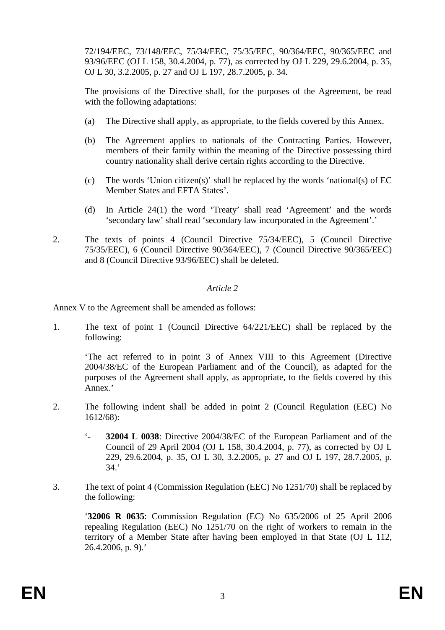72/194/EEC, 73/148/EEC, 75/34/EEC, 75/35/EEC, 90/364/EEC, 90/365/EEC and 93/96/EEC (OJ L 158, 30.4.2004, p. 77), as corrected by OJ L 229, 29.6.2004, p. 35, OJ L 30, 3.2.2005, p. 27 and OJ L 197, 28.7.2005, p. 34.

The provisions of the Directive shall, for the purposes of the Agreement, be read with the following adaptations:

- (a) The Directive shall apply, as appropriate, to the fields covered by this Annex.
- (b) The Agreement applies to nationals of the Contracting Parties. However, members of their family within the meaning of the Directive possessing third country nationality shall derive certain rights according to the Directive.
- (c) The words 'Union citizen(s)' shall be replaced by the words 'national(s) of EC Member States and EFTA States'.
- (d) In Article 24(1) the word 'Treaty' shall read 'Agreement' and the words 'secondary law' shall read 'secondary law incorporated in the Agreement'.'
- 2. The texts of points 4 (Council Directive 75/34/EEC), 5 (Council Directive 75/35/EEC), 6 (Council Directive 90/364/EEC), 7 (Council Directive 90/365/EEC) and 8 (Council Directive 93/96/EEC) shall be deleted.

## *Article 2*

Annex V to the Agreement shall be amended as follows:

1. The text of point 1 (Council Directive 64/221/EEC) shall be replaced by the following:

'The act referred to in point 3 of Annex VIII to this Agreement (Directive 2004/38/EC of the European Parliament and of the Council), as adapted for the purposes of the Agreement shall apply, as appropriate, to the fields covered by this Annex.'

- 2. The following indent shall be added in point 2 (Council Regulation (EEC) No 1612/68):
	- '- **32004 L 0038**: Directive 2004/38/EC of the European Parliament and of the Council of 29 April 2004 (OJ L 158, 30.4.2004, p. 77), as corrected by OJ L 229, 29.6.2004, p. 35, OJ L 30, 3.2.2005, p. 27 and OJ L 197, 28.7.2005, p. 34.'
- 3. The text of point 4 (Commission Regulation (EEC) No 1251/70) shall be replaced by the following:

'**32006 R 0635**: Commission Regulation (EC) No 635/2006 of 25 April 2006 repealing Regulation (EEC) No 1251/70 on the right of workers to remain in the territory of a Member State after having been employed in that State (OJ L 112,  $26.4.2006$ , p. 9).'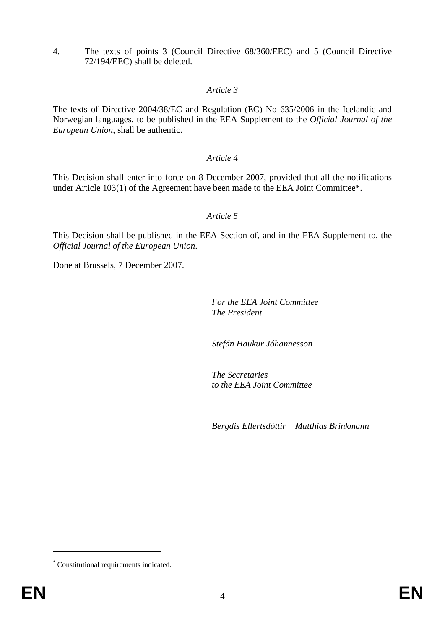4. The texts of points 3 (Council Directive 68/360/EEC) and 5 (Council Directive 72/194/EEC) shall be deleted.

# *Article 3*

The texts of Directive 2004/38/EC and Regulation (EC) No 635/2006 in the Icelandic and Norwegian languages, to be published in the EEA Supplement to the *Official Journal of the European Union*, shall be authentic.

## *Article 4*

This Decision shall enter into force on 8 December 2007, provided that all the notifications under Article 103(1) of the Agreement have been made to the EEA Joint Committee\*.

## *Article 5*

This Decision shall be published in the EEA Section of, and in the EEA Supplement to, the *Official Journal of the European Union*.

Done at Brussels, 7 December 2007.

*For the EEA Joint Committee The President*

*Stefán Haukur Jóhannesson*

*The Secretaries to the EEA Joint Committee*

*Bergdis Ellertsdóttir Matthias Brinkmann*

-

<sup>\*</sup> Constitutional requirements indicated.